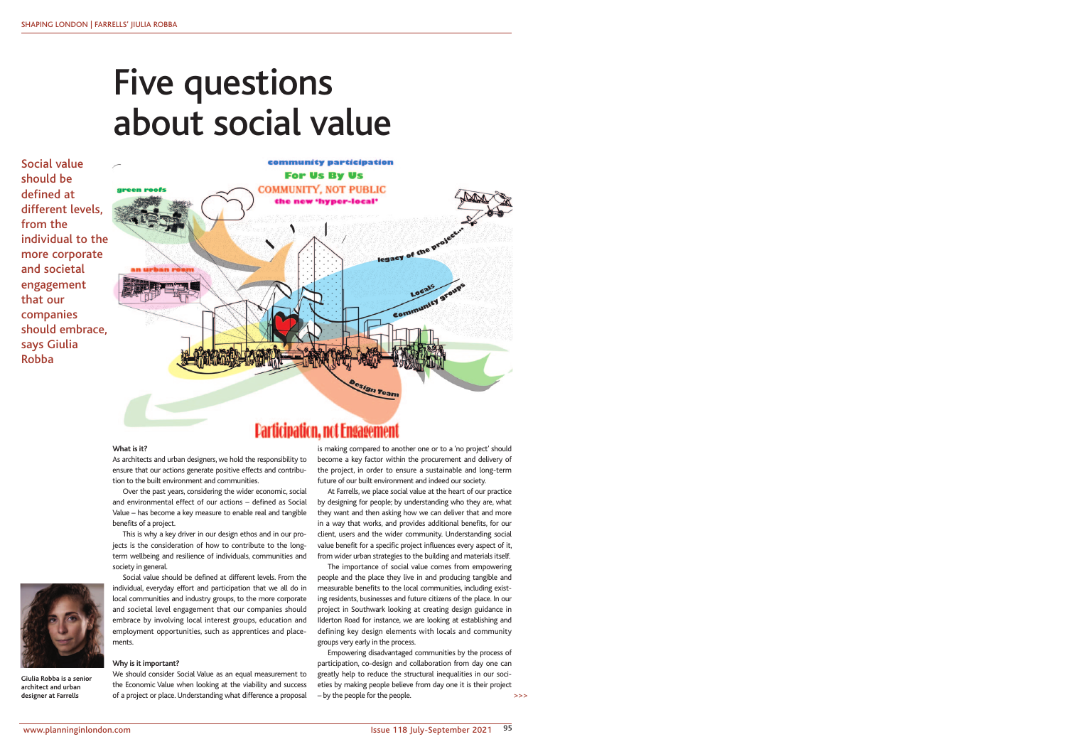

**Giulia Robba is a senior architect and urban designer at Farrells**

Social value should be defined at different levels, from the individual to the more corporate and societal engagement that our companies should embrace, says Giulia Robba



**Participation, not Engagement** 

## **What is it?**

## As architects and urban designers, we hold the responsibility to ensure that our actions generate positive effects and contribution to the built environment and communities.

Over the past years, considering the wider economic, social and environmental effect of our actions – defined as Social Value – has become a key measure to enable real and tangible benefits of a project.

We should consider Social Value as an equal measurement to the Economic Value when looking at the viability and success of a project or place. Understanding what difference a proposal

This is why a key driver in our design ethos and in our projects is the consideration of how to contribute to the longterm wellbeing and resilience of individuals, communities and society in general.

Social value should be defined at different levels. From the individual, everyday effort and participation that we all do in local communities and industry groups, to the more corporate and societal level engagement that our companies should embrace by involving local interest groups, education and employment opportunities, such as apprentices and placements.

### **Why is it important?**

Empowering disadvantaged communities by the process of participation, co-design and collaboration from day one can greatly help to reduce the structural inequalities in our societies by making people believe from day one it is their project – by the people for the people.  $\geq$ 

is making compared to another one or to a 'no project' should become a key factor within the procurement and delivery of the project, in order to ensure a sustainable and long-term future of our built environment and indeed our society.

At Farrells, we place social value at the heart of our practice by designing for people; by understanding who they are, what they want and then asking how we can deliver that and more in a way that works, and provides additional benefits, for our client, users and the wider community. Understanding social value benefit for a specific project influences every aspect of it, from wider urban strategies to the building and materials itself.

The importance of social value comes from empowering people and the place they live in and producing tangible and measurable benefits to the local communities, including existing residents, businesses and future citizens of the place. In our project in Southwark looking at creating design guidance in Ilderton Road for instance, we are looking at establishing and defining key design elements with locals and community groups very early in the process.

# Five questions about social value